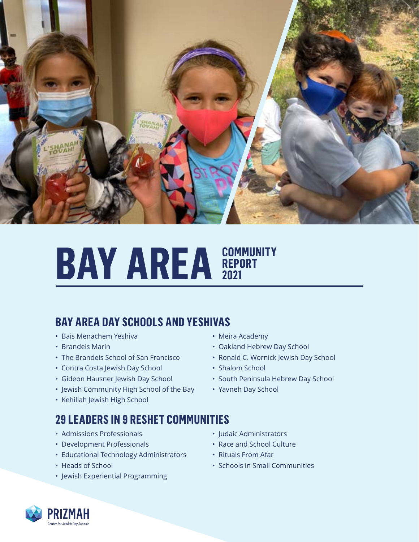

## **BAY AREA EPORT REPORT 2021**

#### **BAY AREA DAY SCHOOLS AND YESHIVAS**

- Bais Menachem Yeshiva
- Brandeis Marin
- The Brandeis School of San Francisco
- Contra Costa Jewish Day School
- Gideon Hausner Jewish Day School
- Jewish Community High School of the Bay
- Kehillah Jewish High School

## **29 LEADERS IN 9 RESHET COMMUNITIES**

- Admissions Professionals
- Development Professionals
- Educational Technology Administrators
- Heads of School
- Jewish Experiential Programming
- Meira Academy
- Oakland Hebrew Day School
- Ronald C. Wornick Jewish Day School
- Shalom School
- South Peninsula Hebrew Day School
- Yavneh Day School
- Judaic Administrators
- Race and School Culture
- Rituals From Afar
- Schools in Small Communities